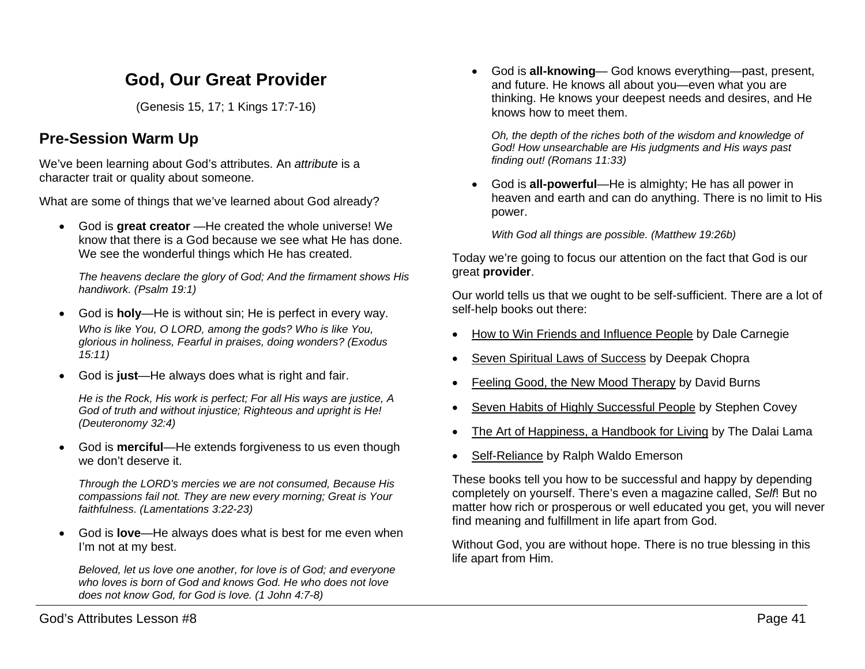# **God, Our Great Provider**

(Genesis 15, 17; 1 Kings 17:7-16)

# **Pre-Session Warm Up**

We've been learning about God's attributes. An *attribute* is a character trait or quality about someone.

What are some of things that we've learned about God already?

• God is **great creator** —He created the whole universe! We know that there is a God because we see what He has done. We see the wonderful things which He has created.

*The heavens declare the glory of God; And the firmament shows His handiwork. (Psalm 19:1)*

- God is **holy**—He is without sin; He is perfect in every way. *Who is like You, O LORD, among the gods? Who is like You, glorious in holiness, Fearful in praises, doing wonders? (Exodus 15:11)*
- God is **just**—He always does what is right and fair.

*He is the Rock, His work is perfect; For all His ways are justice, A God of truth and without injustice; Righteous and upright is He! (Deuteronomy 32:4)*

• God is **merciful**—He extends forgiveness to us even though we don't deserve it.

*Through the LORD's mercies we are not consumed, Because His compassions fail not. They are new every morning; Great is Your faithfulness. (Lamentations 3:22-23)*

• God is **love**—He always does what is best for me even when I'm not at my best.

*Beloved, let us love one another, for love is of God; and everyone who loves is born of God and knows God. He who does not love does not know God, for God is love. (1 John 4:7-8)*

• God is **all-knowing**— God knows everything—past, present, and future. He knows all about you—even what you are thinking. He knows your deepest needs and desires, and He knows how to meet them.

*Oh, the depth of the riches both of the wisdom and knowledge of God! How unsearchable are His judgments and His ways past finding out! (Romans 11:33)*

• God is **all-powerful**—He is almighty; He has all power in heaven and earth and can do anything. There is no limit to His power.

*With God all things are possible. (Matthew 19:26b)*

Today we're going to focus our attention on the fact that God is our great **provider**.

Our world tells us that we ought to be self-sufficient. There are a lot of self-help books out there:

- How to Win Friends and Influence People by Dale Carnegie
- Seven Spiritual Laws of Success by Deepak Chopra
- Feeling Good, the New Mood Therapy by David Burns
- Seven Habits of Highly Successful People by Stephen Covey
- The Art of Happiness, a Handbook for Living by The Dalai Lama
- Self-Reliance by Ralph Waldo Emerson

These books tell you how to be successful and happy by depending completely on yourself. There's even a magazine called, *Self*! But no matter how rich or prosperous or well educated you get, you will never find meaning and fulfillment in life apart from God.

Without God, you are without hope. There is no true blessing in this life apart from Him.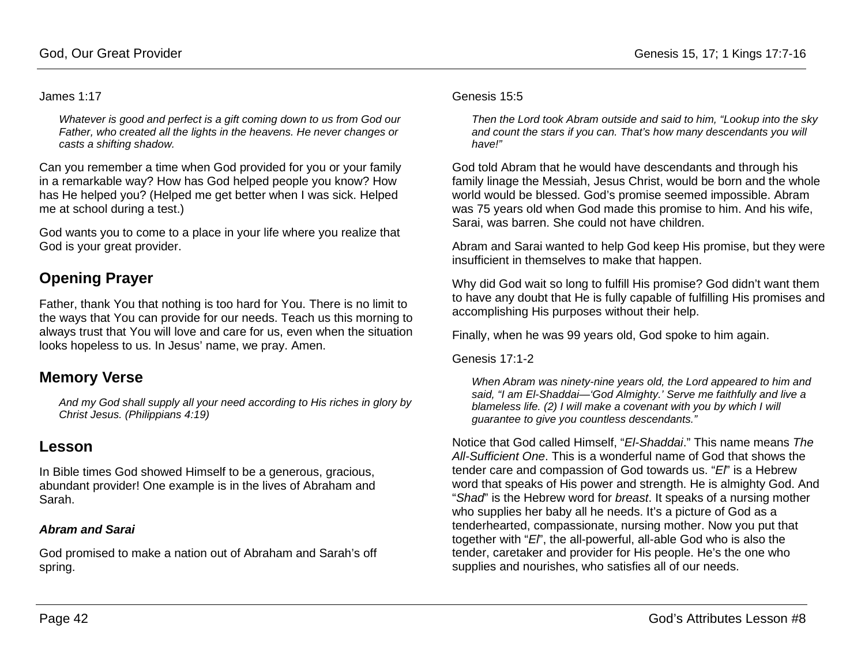#### James 1:17

*Whatever is good and perfect is a gift coming down to us from God our Father, who created all the lights in the heavens. He never changes or casts a shifting shadow.*

Can you remember a time when God provided for you or your family in a remarkable way? How has God helped people you know? How has He helped you? (Helped me get better when I was sick. Helped me at school during a test.)

God wants you to come to a place in your life where you realize that God is your great provider.

## **Opening Prayer**

Father, thank You that nothing is too hard for You. There is no limit to the ways that You can provide for our needs. Teach us this morning to always trust that You will love and care for us, even when the situation looks hopeless to us. In Jesus' name, we pray. Amen.

## **Memory Verse**

*And my God shall supply all your need according to His riches in glory by Christ Jesus. (Philippians 4:19)*

## **Lesson**

In Bible times God showed Himself to be a generous, gracious, abundant provider! One example is in the lives of Abraham and Sarah.

### *Abram and Sarai*

God promised to make a nation out of Abraham and Sarah's off spring.

#### Genesis 15:5

*Then the Lord took Abram outside and said to him, "Lookup into the sky and count the stars if you can. That's how many descendants you will have!"*

God told Abram that he would have descendants and through his family linage the Messiah, Jesus Christ, would be born and the whole world would be blessed. God's promise seemed impossible. Abram was 75 years old when God made this promise to him. And his wife, Sarai, was barren. She could not have children.

Abram and Sarai wanted to help God keep His promise, but they were insufficient in themselves to make that happen.

Why did God wait so long to fulfill His promise? God didn't want them to have any doubt that He is fully capable of fulfilling His promises and accomplishing His purposes without their help.

Finally, when he was 99 years old, God spoke to him again.

Genesis 17:1-2

*When Abram was ninety-nine years old, the Lord appeared to him and said, "I am El-Shaddai—'God Almighty.' Serve me faithfully and live a blameless life. (2) I will make a covenant with you by which I will guarantee to give you countless descendants."*

Notice that God called Himself, "*El-Shaddai*." This name means *The All-Sufficient One*. This is a wonderful name of God that shows the tender care and compassion of God towards us. "*El*" is a Hebrew word that speaks of His power and strength. He is almighty God. And "*Shad*" is the Hebrew word for *breast*. It speaks of a nursing mother who supplies her baby all he needs. It's a picture of God as a tenderhearted, compassionate, nursing mother. Now you put that together with "*El*", the all-powerful, all-able God who is also the tender, caretaker and provider for His people. He's the one who supplies and nourishes, who satisfies all of our needs.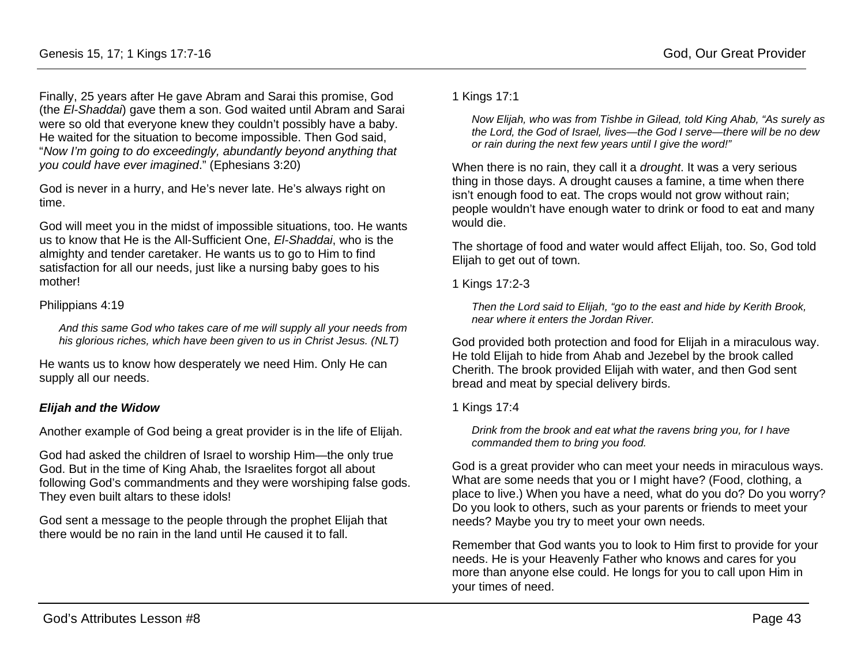Finally, 25 years after He gave Abram and Sarai this promise, God (the *El-Shaddai*) gave them a son. God waited until Abram and Sarai were so old that everyone knew they couldn't possibly have a baby. He waited for the situation to become impossible. Then God said, "*Now I'm going to do exceedingly, abundantly beyond anything that you could have ever imagined*." (Ephesians 3:20)

God is never in a hurry, and He's never late. He's always right on time.

God will meet you in the midst of impossible situations, too. He wants us to know that He is the All-Sufficient One, *El-Shaddai*, who is the almighty and tender caretaker. He wants us to go to Him to find satisfaction for all our needs, just like a nursing baby goes to his mother!

#### Philippians 4:19

*And this same God who takes care of me will supply all your needs from his glorious riches, which have been given to us in Christ Jesus. (NLT)*

He wants us to know how desperately we need Him. Only He can supply all our needs.

## *Elijah and the Widow*

Another example of God being a great provider is in the life of Elijah.

God had asked the children of Israel to worship Him—the only true God. But in the time of King Ahab, the Israelites forgot all about following God's commandments and they were worshiping false gods. They even built altars to these idols!

God sent a message to the people through the prophet Elijah that there would be no rain in the land until He caused it to fall.

1 Kings 17:1

*Now Elijah, who was from Tishbe in Gilead, told King Ahab, "As surely as the Lord, the God of Israel, lives—the God I serve—there will be no dew or rain during the next few years until I give the word!"*

When there is no rain, they call it a *drought*. It was a very serious thing in those days. A drought causes a famine, a time when there isn't enough food to eat. The crops would not grow without rain; people wouldn't have enough water to drink or food to eat and many would die.

The shortage of food and water would affect Elijah, too. So, God told Elijah to get out of town.

1 Kings 17:2-3

*Then the Lord said to Elijah, "go to the east and hide by Kerith Brook, near where it enters the Jordan River.*

God provided both protection and food for Elijah in a miraculous way. He told Elijah to hide from Ahab and Jezebel by the brook called Cherith. The brook provided Elijah with water, and then God sent bread and meat by special delivery birds.

1 Kings 17:4

*Drink from the brook and eat what the ravens bring you, for I have commanded them to bring you food.*

God is a great provider who can meet your needs in miraculous ways. What are some needs that you or I might have? (Food, clothing, a place to live.) When you have a need, what do you do? Do you worry? Do you look to others, such as your parents or friends to meet your needs? Maybe you try to meet your own needs.

Remember that God wants you to look to Him first to provide for your needs. He is your Heavenly Father who knows and cares for you more than anyone else could. He longs for you to call upon Him in your times of need.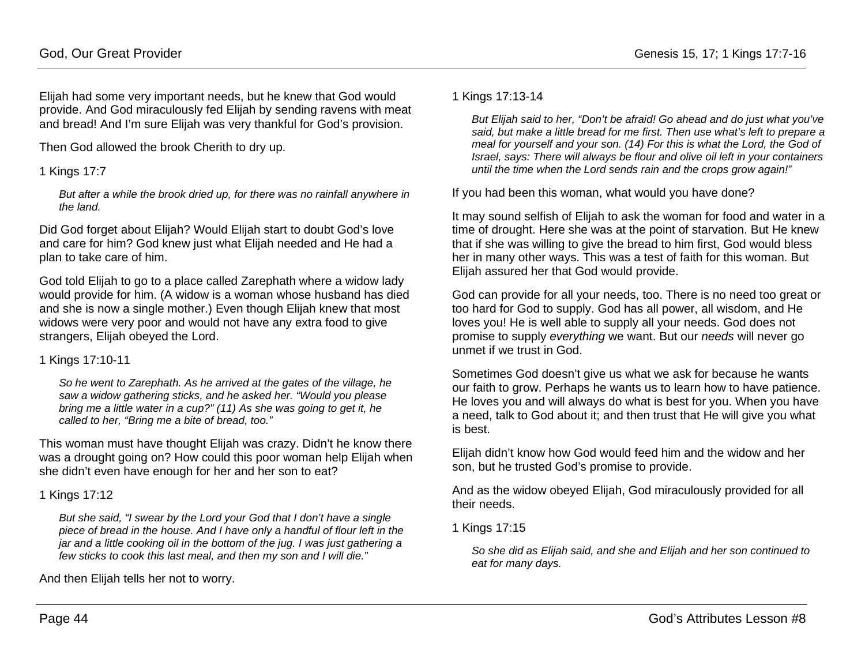Elijah had some very important needs, but he knew that God would provide. And God miraculously fed Elijah by sending ravens with meat and bread! And I'm sure Elijah was very thankful for God's provision.

Then God allowed the brook Cherith to dry up.

1 Kings 17:7

*But after a while the brook dried up, for there was no rainfall anywhere in the land.*

Did God forget about Elijah? Would Elijah start to doubt God's love and care for him? God knew just what Elijah needed and He had a plan to take care of him.

God told Elijah to go to a place called Zarephath where a widow lady would provide for him. (A widow is a woman whose husband has died and she is now a single mother.) Even though Elijah knew that most widows were very poor and would not have any extra food to give strangers, Elijah obeyed the Lord.

#### 1 Kings 17:10-11

*So he went to Zarephath. As he arrived at the gates of the village, he saw a widow gathering sticks, and he asked her. "Would you please bring me a little water in a cup?" (11) As she was going to get it, he called to her, "Bring me a bite of bread, too."*

This woman must have thought Elijah was crazy. Didn't he know there was a drought going on? How could this poor woman help Elijah when she didn't even have enough for her and her son to eat?

### 1 Kings 17:12

*But she said, "I swear by the Lord your God that I don't have a single piece of bread in the house. And I have only a handful of flour left in the jar and a little cooking oil in the bottom of the jug. I was just gathering a few sticks to cook this last meal, and then my son and I will die."*

And then Elijah tells her not to worry.

#### 1 Kings 17:13-14

*But Elijah said to her, "Don't be afraid! Go ahead and do just what you've said, but make a little bread for me first. Then use what's left to prepare a meal for yourself and your son. (14) For this is what the Lord, the God of Israel, says: There will always be flour and olive oil left in your containers until the time when the Lord sends rain and the crops grow again!"*

If you had been this woman, what would you have done?

It may sound selfish of Elijah to ask the woman for food and water in a time of drought. Here she was at the point of starvation. But He knew that if she was willing to give the bread to him first, God would bless her in many other ways. This was a test of faith for this woman. But Elijah assured her that God would provide.

God can provide for all your needs, too. There is no need too great or too hard for God to supply. God has all power, all wisdom, and He loves you! He is well able to supply all your needs. God does not promise to supply *everything* we want. But our *needs* will never go unmet if we trust in God.

Sometimes God doesn't give us what we ask for because he wants our faith to grow. Perhaps he wants us to learn how to have patience. He loves you and will always do what is best for you. When you have a need, talk to God about it; and then trust that He will give you what is best.

Elijah didn't know how God would feed him and the widow and her son, but he trusted God's promise to provide.

And as the widow obeyed Elijah, God miraculously provided for all their needs.

1 Kings 17:15

*So she did as Elijah said, and she and Elijah and her son continued to eat for many days.*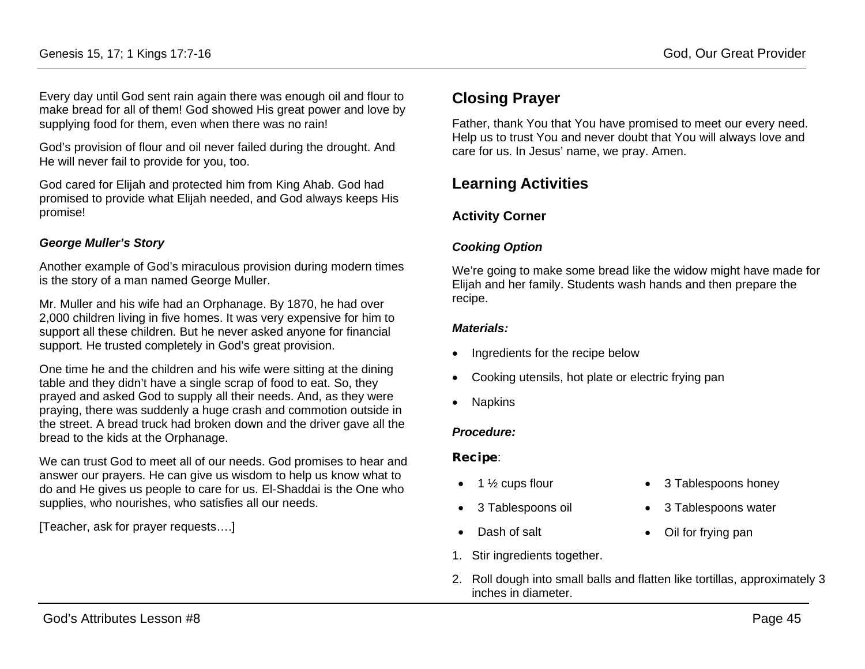Every day until God sent rain again there was enough oil and flour to make bread for all of them! God showed His great power and love by supplying food for them, even when there was no rain!

God's provision of flour and oil never failed during the drought. And He will never fail to provide for you, too.

God cared for Elijah and protected him from King Ahab. God had promised to provide what Elijah needed, and God always keeps His promise!

### *George Muller's Story*

Another example of God's miraculous provision during modern times is the story of a man named George Muller.

Mr. Muller and his wife had an Orphanage. By 1870, he had over 2,000 children living in five homes. It was very expensive for him to support all these children. But he never asked anyone for financial support. He trusted completely in God's great provision.

One time he and the children and his wife were sitting at the dining table and they didn't have a single scrap of food to eat. So, they prayed and asked God to supply all their needs. And, as they were praying, there was suddenly a huge crash and commotion outside in the street. A bread truck had broken down and the driver gave all the bread to the kids at the Orphanage.

We can trust God to meet all of our needs. God promises to hear and answer our prayers. He can give us wisdom to help us know what to do and He gives us people to care for us. El-Shaddai is the One who supplies, who nourishes, who satisfies all our needs.

[Teacher, ask for prayer requests….]

# **Closing Prayer**

Father, thank You that You have promised to meet our every need. Help us to trust You and never doubt that You will always love and care for us. In Jesus' name, we pray. Amen.

# **Learning Activities**

## **Activity Corner**

### *Cooking Option*

We're going to make some bread like the widow might have made for Elijah and her family. Students wash hands and then prepare the recipe.

#### *Materials:*

- Ingredients for the recipe below
- Cooking utensils, hot plate or electric frying pan
- Napkins

#### *Procedure:*

#### Recipe:

- 1  $\frac{1}{2}$  cups flour
- 3 Tablespoons oil
- Dash of salt
- 1. Stir ingredients together.
- 2. Roll dough into small balls and flatten like tortillas, approximately 3 inches in diameter.

• 3 Tablespoons honey

• 3 Tablespoons water

• Oil for frying pan